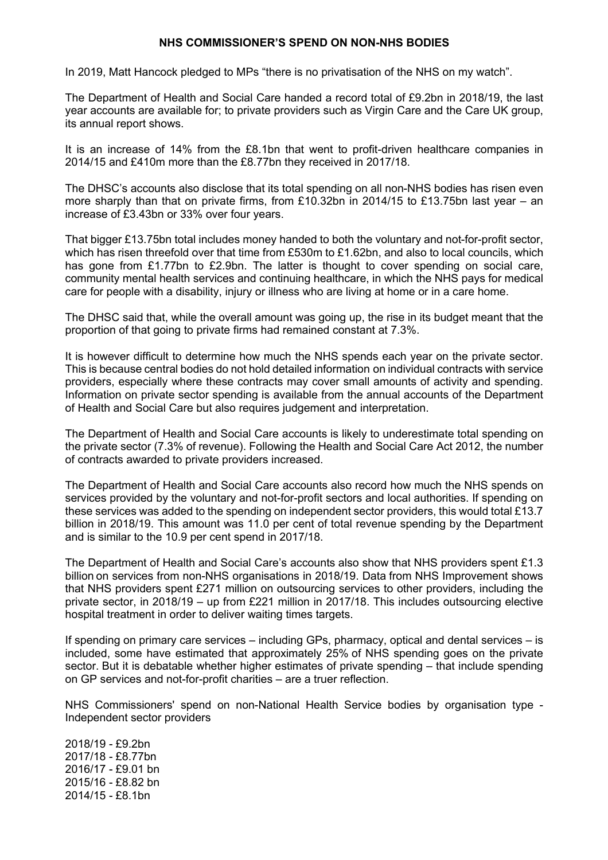# **NHS COMMISSIONER'S SPEND ON NON-NHS BODIES**

In 2019, Matt Hancock pledged to MPs "there is no privatisation of the NHS on my watch".

The Department of Health and Social Care handed a record total of £9.2bn in 2018/19, the last year accounts are available for; to private providers such as Virgin Care and the Care UK group, its annual report shows.

It is an increase of 14% from the £8.1bn that went to profit-driven healthcare companies in 2014/15 and £410m more than the £8.77bn they received in 2017/18.

The DHSC's accounts also disclose that its total spending on all non-NHS bodies has risen even more sharply than that on private firms, from £10.32bn in 2014/15 to £13.75bn last year – an increase of £3.43bn or 33% over four years.

That bigger £13.75bn total includes money handed to both the voluntary and not-for-profit sector, which has risen threefold over that time from £530m to £1.62bn, and also to local councils, which has gone from £1.77bn to £2.9bn. The latter is thought to cover spending on social care, community mental health services and continuing healthcare, in which the NHS pays for medical care for people with a disability, injury or illness who are living at home or in a care home.

The DHSC said that, while the overall amount was going up, the rise in its budget meant that the proportion of that going to private firms had remained constant at 7.3%.

It is however difficult to determine how much the NHS spends each year on the private sector. This is because central bodies do not hold detailed information on individual contracts with service providers, especially where these contracts may cover small amounts of activity and spending. Information on private sector spending is available from the annual accounts of the Department of Health and Social Care but also requires judgement and interpretation.

The Department of Health and Social Care accounts is likely to underestimate total spending on the private sector (7.3% of revenue). Following the Health and Social Care Act 2012, the number of contracts awarded to private providers increased.

The Department of Health and Social Care accounts also record how much the NHS spends on services provided by the voluntary and not-for-profit sectors and local authorities. If spending on these services was added to the spending on independent sector providers, this would total £13.7 billion in 2018/19. This amount was 11.0 per cent of total revenue spending by the Department and is similar to the 10.9 per cent spend in 2017/18.

The Department of Health and Social Care's accounts also show that NHS providers spent £1.3 billion on services from non-NHS organisations in 2018/19. Data from NHS Improvement shows that NHS providers spent £271 million on outsourcing services to other providers, including the private sector, in 2018/19 – up from £221 million in 2017/18. This includes outsourcing elective hospital treatment in order to deliver waiting times targets.

If spending on primary care services – including GPs, pharmacy, optical and dental services – is included, some have estimated that approximately 25% of NHS spending goes on the private sector. But it is debatable whether higher estimates of private spending – that include spending on GP services and not-for-profit charities – are a truer reflection.

NHS Commissioners' spend on non-National Health Service bodies by organisation type - Independent sector providers

2018/19 - £9.2bn 2017/18 - £8.77bn 2016/17 - £9.01 bn 2015/16 - £8.82 bn 2014/15 - £8.1bn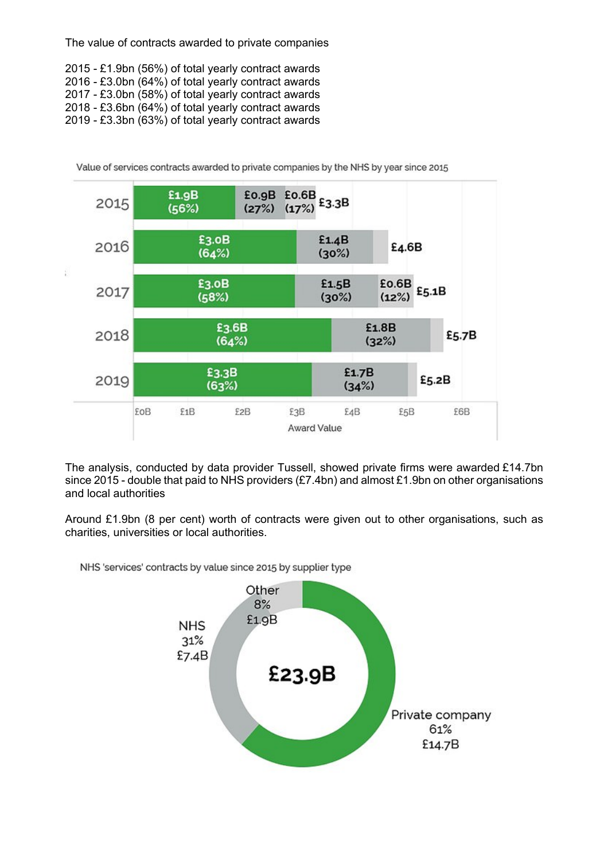The value of contracts awarded to private companies

2015 - £1.9bn (56%) of total yearly contract awards 2016 - £3.0bn (64%) of total yearly contract awards 2017 - £3.0bn (58%) of total yearly contract awards 2018 - £3.6bn (64%) of total yearly contract awards 2019 - £3.3bn (63%) of total yearly contract awards



Value of services contracts awarded to private companies by the NHS by year since 2015

The analysis, conducted by data provider Tussell, showed private firms were awarded £14.7bn since 2015 - double that paid to NHS providers  $(E7.4$ bn) and almost £1.9bn on other organisations and local authorities

Around £1.9bn (8 per cent) worth of contracts were given out to other organisations, such as charities, universities or local authorities.

NHS 'services' contracts by value since 2015 by supplier type